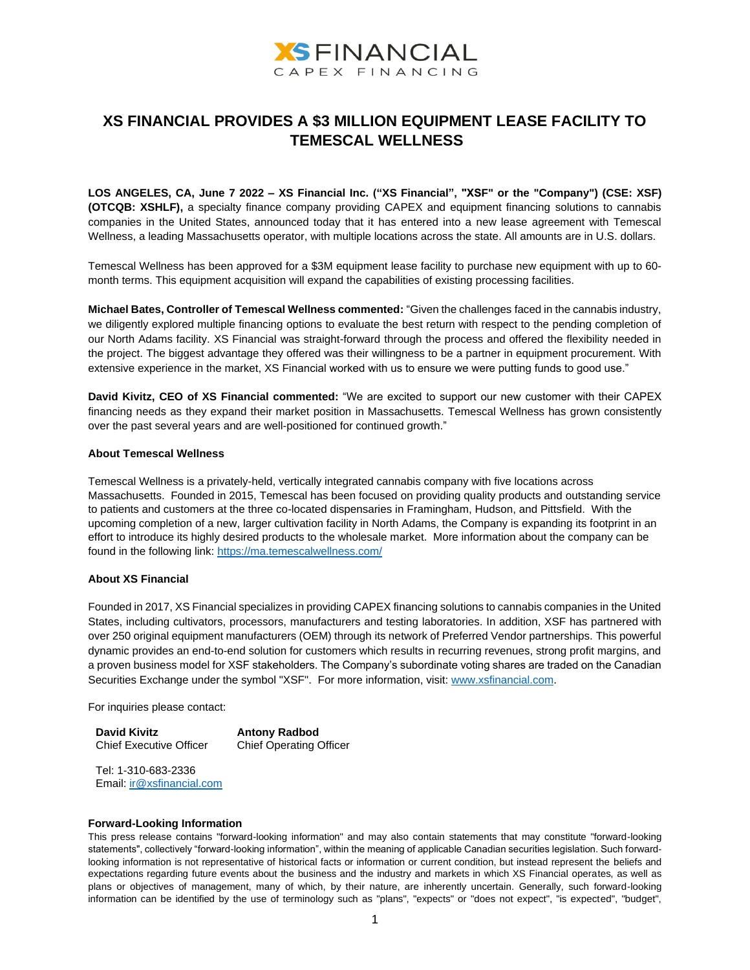

## **XS FINANCIAL PROVIDES A \$3 MILLION EQUIPMENT LEASE FACILITY TO TEMESCAL WELLNESS**

**LOS ANGELES, CA, June 7 2022 – XS Financial Inc. ("XS Financial", "XSF" or the "Company") (CSE: XSF) (OTCQB: XSHLF),** a specialty finance company providing CAPEX and equipment financing solutions to cannabis companies in the United States, announced today that it has entered into a new lease agreement with Temescal Wellness, a leading Massachusetts operator, with multiple locations across the state. All amounts are in U.S. dollars.

Temescal Wellness has been approved for a \$3M equipment lease facility to purchase new equipment with up to 60 month terms. This equipment acquisition will expand the capabilities of existing processing facilities.

**Michael Bates, Controller of Temescal Wellness commented:** "Given the challenges faced in the cannabis industry, we diligently explored multiple financing options to evaluate the best return with respect to the pending completion of our North Adams facility. XS Financial was straight-forward through the process and offered the flexibility needed in the project. The biggest advantage they offered was their willingness to be a partner in equipment procurement. With extensive experience in the market, XS Financial worked with us to ensure we were putting funds to good use."

**David Kivitz, CEO of XS Financial commented:** "We are excited to support our new customer with their CAPEX financing needs as they expand their market position in Massachusetts. Temescal Wellness has grown consistently over the past several years and are well-positioned for continued growth."

## **About Temescal Wellness**

Temescal Wellness is a privately-held, vertically integrated cannabis company with five locations across Massachusetts. Founded in 2015, Temescal has been focused on providing quality products and outstanding service to patients and customers at the three co-located dispensaries in Framingham, Hudson, and Pittsfield. With the upcoming completion of a new, larger cultivation facility in North Adams, the Company is expanding its footprint in an effort to introduce its highly desired products to the wholesale market. More information about the company can be found in the following link[: https://ma.temescalwellness.com/](https://ma.temescalwellness.com/)

## **About XS Financial**

Founded in 2017, XS Financial specializes in providing CAPEX financing solutions to cannabis companies in the United States, including cultivators, processors, manufacturers and testing laboratories. In addition, XSF has partnered with over 250 original equipment manufacturers (OEM) through its network of Preferred Vendor partnerships. This powerful dynamic provides an end-to-end solution for customers which results in recurring revenues, strong profit margins, and a proven business model for XSF stakeholders. The Company's subordinate voting shares are traded on the Canadian Securities Exchange under the symbol "XSF". For more information, visit[: www.xsfinancial.com.](http://www.xsfinancial.com/)

For inquiries please contact:

**David Kivitz** Chief Executive Officer **Antony Radbod** Chief Operating Officer

Tel: 1-310-683-2336 Email: [ir@xsfinancial.com](about:blank)

## **Forward-Looking Information**

This press release contains "forward-looking information" and may also contain statements that may constitute "forward-looking statements", collectively "forward-looking information", within the meaning of applicable Canadian securities legislation. Such forwardlooking information is not representative of historical facts or information or current condition, but instead represent the beliefs and expectations regarding future events about the business and the industry and markets in which XS Financial operates, as well as plans or objectives of management, many of which, by their nature, are inherently uncertain. Generally, such forward-looking information can be identified by the use of terminology such as "plans", "expects" or "does not expect", "is expected", "budget",